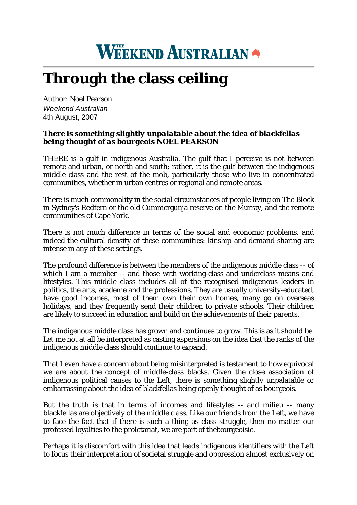## **WEEKEND AUSTRALIAN**

## **Through the class ceiling**

Author: Noel Pearson *Weekend Australian* 4th August, 2007

## *There is something slightly unpalatable about the idea of blackfellas being thought of as bourgeois NOEL PEARSON*

THERE is a gulf in indigenous Australia. The gulf that I perceive is not between remote and urban, or north and south; rather, it is the gulf between the indigenous middle class and the rest of the mob, particularly those who live in concentrated communities, whether in urban centres or regional and remote areas.

There is much commonality in the social circumstances of people living on The Block in Sydney's Redfern or the old Cummergunja reserve on the Murray, and the remote communities of Cape York.

There is not much difference in terms of the social and economic problems, and indeed the cultural density of these communities: kinship and demand sharing are intense in any of these settings.

The profound difference is between the members of the indigenous middle class -- of which I am a member -- and those with working-class and underclass means and lifestyles. This middle class includes all of the recognised indigenous leaders in politics, the arts, academe and the professions. They are usually university-educated, have good incomes, most of them own their own homes, many go on overseas holidays, and they frequently send their children to private schools. Their children are likely to succeed in education and build on the achievements of their parents.

The indigenous middle class has grown and continues to grow. This is as it should be. Let me not at all be interpreted as casting aspersions on the idea that the ranks of the indigenous middle class should continue to expand.

That I even have a concern about being misinterpreted is testament to how equivocal we are about the concept of middle-class blacks. Given the close association of indigenous political causes to the Left, there is something slightly unpalatable or embarrassing about the idea of blackfellas being openly thought of as bourgeois.

But the truth is that in terms of incomes and lifestyles -- and milieu -- many blackfellas are objectively of the middle class. Like our friends from the Left, we have to face the fact that if there is such a thing as class struggle, then no matter our professed loyalties to the proletariat, we are part of thebourgeoisie.

Perhaps it is discomfort with this idea that leads indigenous identifiers with the Left to focus their interpretation of societal struggle and oppression almost exclusively on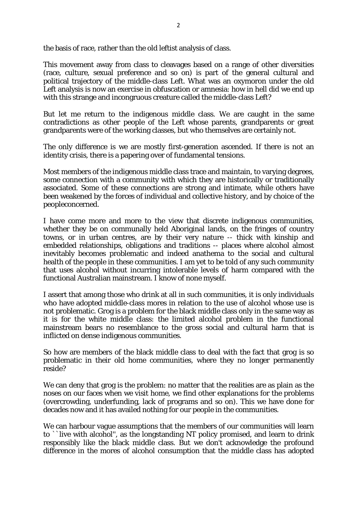the basis of race, rather than the old leftist analysis of class.

This movement away from class to cleavages based on a range of other diversities (race, culture, sexual preference and so on) is part of the general cultural and political trajectory of the middle-class Left. What was an oxymoron under the old Left analysis is now an exercise in obfuscation or amnesia: how in hell did we end up with this strange and incongruous creature called the middle-class Left?

But let me return to the indigenous middle class. We are caught in the same contradictions as other people of the Left whose parents, grandparents or great grandparents were of the working classes, but who themselves are certainly not.

The only difference is we are mostly first-generation ascended. If there is not an identity crisis, there is a papering over of fundamental tensions.

Most members of the indigenous middle class trace and maintain, to varying degrees, some connection with a community with which they are historically or traditionally associated. Some of these connections are strong and intimate, while others have been weakened by the forces of individual and collective history, and by choice of the peopleconcerned.

I have come more and more to the view that discrete indigenous communities, whether they be on communally held Aboriginal lands, on the fringes of country towns, or in urban centres, are by their very nature -- thick with kinship and embedded relationships, obligations and traditions -- places where alcohol almost inevitably becomes problematic and indeed anathema to the social and cultural health of the people in these communities. I am yet to be told of any such community that uses alcohol without incurring intolerable levels of harm compared with the functional Australian mainstream. I know of none myself.

I assert that among those who drink at all in such communities, it is only individuals who have adopted middle-class mores in relation to the use of alcohol whose use is not problematic. Grog is a problem for the black middle class only in the same way as it is for the white middle class: the limited alcohol problem in the functional mainstream bears no resemblance to the gross social and cultural harm that is inflicted on dense indigenous communities.

So how are members of the black middle class to deal with the fact that grog is so problematic in their old home communities, where they no longer permanently reside?

We can deny that grog is the problem: no matter that the realities are as plain as the noses on our faces when we visit home, we find other explanations for the problems (overcrowding, underfunding, lack of programs and so on). This we have done for decades now and it has availed nothing for our people in the communities.

We can harbour vague assumptions that the members of our communities will learn to ``live with alcohol'', as the longstanding NT policy promised, and learn to drink responsibly like the black middle class. But we don't acknowledge the profound difference in the mores of alcohol consumption that the middle class has adopted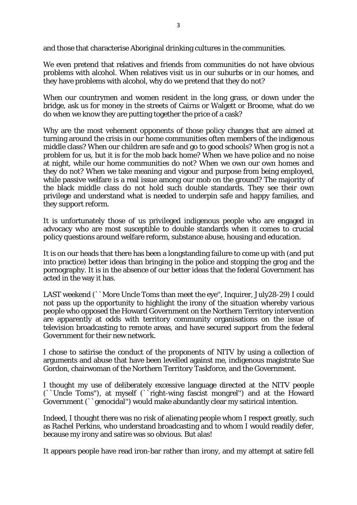and those that characterise Aboriginal drinking cultures in the communities.

We even pretend that relatives and friends from communities do not have obvious problems with alcohol. When relatives visit us in our suburbs or in our homes, and they have problems with alcohol, why do we pretend that they do not?

When our countrymen and women resident in the long grass, or down under the bridge, ask us for money in the streets of Cairns or Walgett or Broome, what do we do when we know they are putting together the price of a cask?

Why are the most vehement opponents of those policy changes that are aimed at turning around the crisis in our home communities often members of the indigenous middle class? When our children are safe and go to good schools? When grog is not a problem for us, but it is for the mob back home? When we have police and no noise at night, while our home communities do not? When we own our own homes and they do not? When we take meaning and vigour and purpose from being employed, while passive welfare is a real issue among our mob on the ground? The majority of the black middle class do not hold such double standards. They see their own privilege and understand what is needed to underpin safe and happy families, and they support reform.

It is unfortunately those of us privileged indigenous people who are engaged in advocacy who are most susceptible to double standards when it comes to crucial policy questions around welfare reform, substance abuse, housing and education.

It is on our heads that there has been a longstanding failure to come up with (and put into practice) better ideas than bringing in the police and stopping the grog and the pornography. It is in the absence of our better ideas that the federal Government has acted in the way it has.

LAST weekend (``More Uncle Toms than meet the eye'', Inquirer, July28-29) I could not pass up the opportunity to highlight the irony of the situation whereby various people who opposed the Howard Government on the Northern Territory intervention are apparently at odds with territory community organisations on the issue of television broadcasting to remote areas, and have secured support from the federal Government for their new network.

I chose to satirise the conduct of the proponents of NITV by using a collection of arguments and abuse that have been levelled against me, indigenous magistrate Sue Gordon, chairwoman of the Northern Territory Taskforce, and the Government.

I thought my use of deliberately excessive language directed at the NITV people (``Uncle Toms''), at myself (``right-wing fascist mongrel'') and at the Howard Government (``genocidal'') would make abundantly clear my satirical intention.

Indeed, I thought there was no risk of alienating people whom I respect greatly, such as Rachel Perkins, who understand broadcasting and to whom I would readily defer, because my irony and satire was so obvious. But alas!

It appears people have read iron-bar rather than irony, and my attempt at satire fell